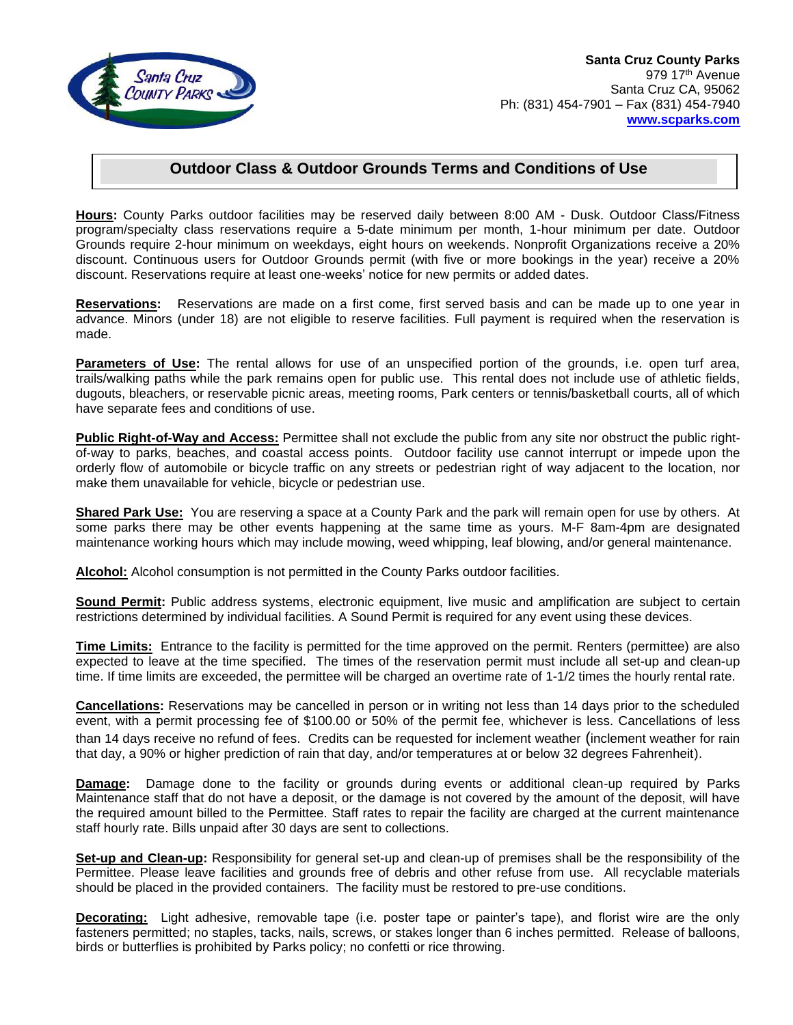

## **Outdoor Class & Outdoor Grounds Terms and Conditions of Use**

**Hours:** County Parks outdoor facilities may be reserved daily between 8:00 AM - Dusk. Outdoor Class/Fitness program/specialty class reservations require a 5-date minimum per month, 1-hour minimum per date. Outdoor Grounds require 2-hour minimum on weekdays, eight hours on weekends. Nonprofit Organizations receive a 20% discount. Continuous users for Outdoor Grounds permit (with five or more bookings in the year) receive a 20% discount. Reservations require at least one-weeks' notice for new permits or added dates.

**Reservations:** Reservations are made on a first come, first served basis and can be made up to one year in advance. Minors (under 18) are not eligible to reserve facilities. Full payment is required when the reservation is made.

**Parameters of Use:** The rental allows for use of an unspecified portion of the grounds, i.e. open turf area, trails/walking paths while the park remains open for public use. This rental does not include use of athletic fields, dugouts, bleachers, or reservable picnic areas, meeting rooms, Park centers or tennis/basketball courts, all of which have separate fees and conditions of use.

**Public Right-of-Way and Access:** Permittee shall not exclude the public from any site nor obstruct the public rightof-way to parks, beaches, and coastal access points. Outdoor facility use cannot interrupt or impede upon the orderly flow of automobile or bicycle traffic on any streets or pedestrian right of way adjacent to the location, nor make them unavailable for vehicle, bicycle or pedestrian use.

**Shared Park Use:** You are reserving a space at a County Park and the park will remain open for use by others. At some parks there may be other events happening at the same time as yours. M-F 8am-4pm are designated maintenance working hours which may include mowing, weed whipping, leaf blowing, and/or general maintenance.

**Alcohol:** Alcohol consumption is not permitted in the County Parks outdoor facilities.

**Sound Permit:** Public address systems, electronic equipment, live music and amplification are subject to certain restrictions determined by individual facilities. A Sound Permit is required for any event using these devices.

**Time Limits:** Entrance to the facility is permitted for the time approved on the permit. Renters (permittee) are also expected to leave at the time specified. The times of the reservation permit must include all set-up and clean-up time. If time limits are exceeded, the permittee will be charged an overtime rate of 1-1/2 times the hourly rental rate.

**Cancellations:** Reservations may be cancelled in person or in writing not less than 14 days prior to the scheduled event, with a permit processing fee of \$100.00 or 50% of the permit fee, whichever is less. Cancellations of less than 14 days receive no refund of fees. Credits can be requested for inclement weather (inclement weather for rain that day, a 90% or higher prediction of rain that day, and/or temperatures at or below 32 degrees Fahrenheit).

**Damage:** Damage done to the facility or grounds during events or additional clean-up required by Parks Maintenance staff that do not have a deposit, or the damage is not covered by the amount of the deposit, will have the required amount billed to the Permittee. Staff rates to repair the facility are charged at the current maintenance staff hourly rate. Bills unpaid after 30 days are sent to collections.

**Set-up and Clean-up:** Responsibility for general set-up and clean-up of premises shall be the responsibility of the Permittee. Please leave facilities and grounds free of debris and other refuse from use. All recyclable materials should be placed in the provided containers. The facility must be restored to pre-use conditions.

**Decorating:** Light adhesive, removable tape (i.e. poster tape or painter's tape), and florist wire are the only fasteners permitted; no staples, tacks, nails, screws, or stakes longer than 6 inches permitted. Release of balloons, birds or butterflies is prohibited by Parks policy; no confetti or rice throwing.